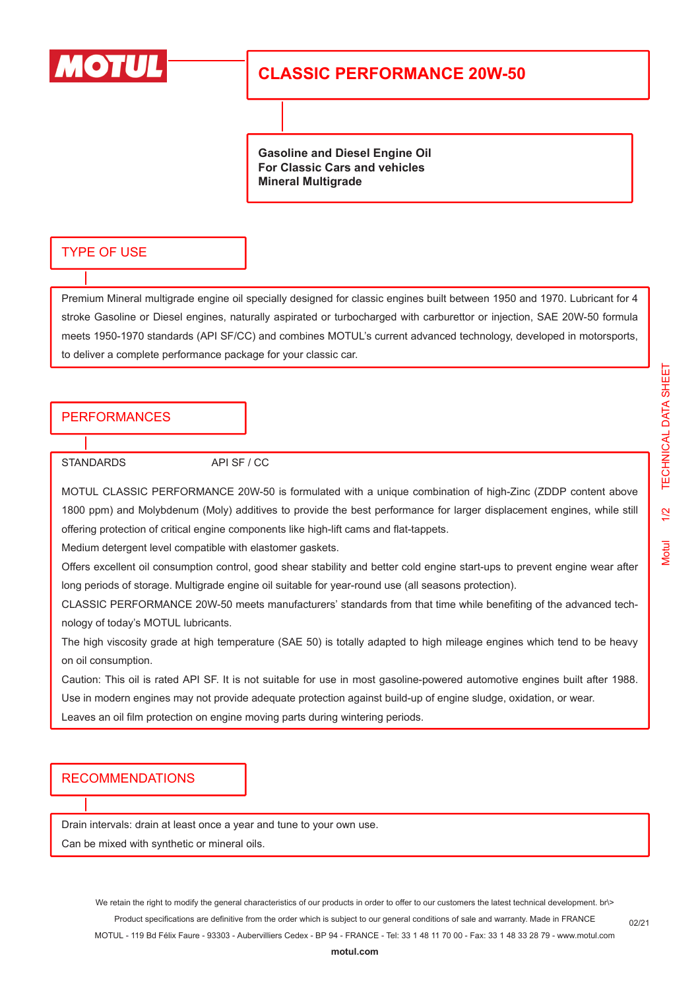

## **CLASSIC PERFORMANCE 20W-50**

**Gasoline and Diesel Engine Oil For Classic Cars and vehicles Mineral Multigrade**

#### TYPE OF USE

Premium Mineral multigrade engine oil specially designed for classic engines built between 1950 and 1970. Lubricant for 4 stroke Gasoline or Diesel engines, naturally aspirated or turbocharged with carburettor or injection, SAE 20W-50 formula meets 1950-1970 standards (API SF/CC) and combines MOTUL's current advanced technology, developed in motorsports, to deliver a complete performance package for your classic car.

### **PERFORMANCES**

STANDARDS API SF / CC

MOTUL CLASSIC PERFORMANCE 20W-50 is formulated with a unique combination of high-Zinc (ZDDP content above 1800 ppm) and Molybdenum (Moly) additives to provide the best performance for larger displacement engines, while still offering protection of critical engine components like high-lift cams and flat-tappets.

Medium detergent level compatible with elastomer gaskets.

Offers excellent oil consumption control, good shear stability and better cold engine start-ups to prevent engine wear after long periods of storage. Multigrade engine oil suitable for year-round use (all seasons protection).

CLASSIC PERFORMANCE 20W-50 meets manufacturers' standards from that time while benefiting of the advanced technology of today's MOTUL lubricants.

The high viscosity grade at high temperature (SAE 50) is totally adapted to high mileage engines which tend to be heavy on oil consumption.

Caution: This oil is rated API SF. It is not suitable for use in most gasoline-powered automotive engines built after 1988. Use in modern engines may not provide adequate protection against build-up of engine sludge, oxidation, or wear. Leaves an oil film protection on engine moving parts during wintering periods.

#### RECOMMENDATIONS

Drain intervals: drain at least once a year and tune to your own use.

Can be mixed with synthetic or mineral oils.

We retain the right to modify the general characteristics of our products in order to offer to our customers the latest technical development. br\> Product specifications are definitive from the order which is subject to our general conditions of sale and warranty. Made in FRANCE MOTUL - 119 Bd Félix Faure - 93303 - Aubervilliers Cedex - BP 94 - FRANCE - Tel: 33 1 48 11 70 00 - Fax: 33 1 48 33 28 79 - www.motul.com

02/21